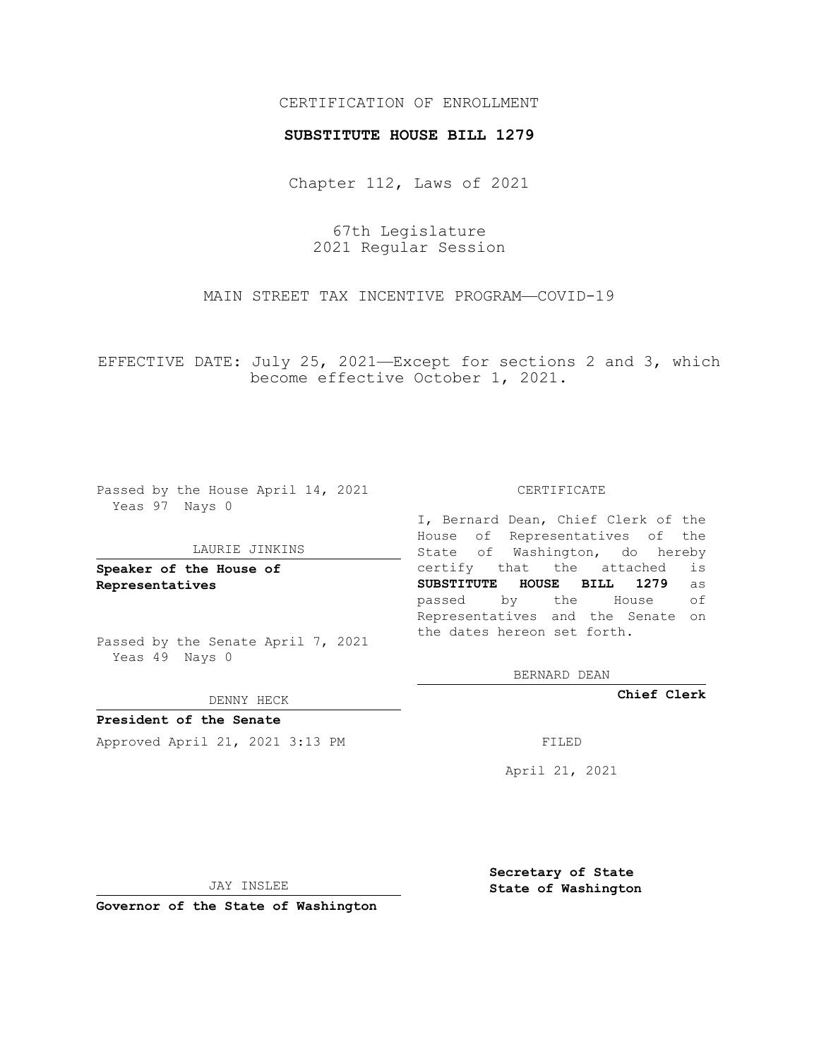## CERTIFICATION OF ENROLLMENT

### **SUBSTITUTE HOUSE BILL 1279**

Chapter 112, Laws of 2021

67th Legislature 2021 Regular Session

MAIN STREET TAX INCENTIVE PROGRAM—COVID-19

EFFECTIVE DATE: July 25, 2021—Except for sections 2 and 3, which become effective October 1, 2021.

Passed by the House April 14, 2021 Yeas 97 Nays 0

#### LAURIE JINKINS

**Speaker of the House of Representatives**

Passed by the Senate April 7, 2021 Yeas 49 Nays 0

DENNY HECK

**President of the Senate** Approved April 21, 2021 3:13 PM FILED

CERTIFICATE

I, Bernard Dean, Chief Clerk of the House of Representatives of the State of Washington, do hereby certify that the attached is **SUBSTITUTE HOUSE BILL 1279** as passed by the House of Representatives and the Senate on the dates hereon set forth.

BERNARD DEAN

**Chief Clerk**

April 21, 2021

JAY INSLEE

**Governor of the State of Washington**

**Secretary of State State of Washington**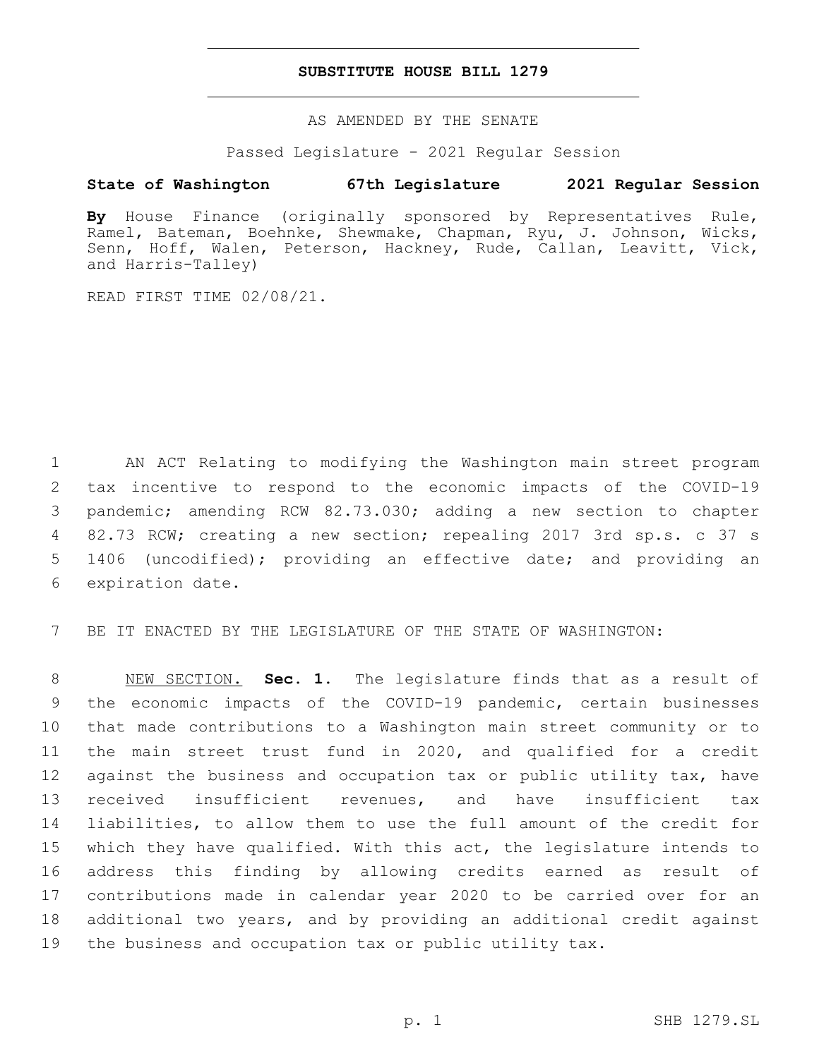## **SUBSTITUTE HOUSE BILL 1279**

AS AMENDED BY THE SENATE

Passed Legislature - 2021 Regular Session

# **State of Washington 67th Legislature 2021 Regular Session**

**By** House Finance (originally sponsored by Representatives Rule, Ramel, Bateman, Boehnke, Shewmake, Chapman, Ryu, J. Johnson, Wicks, Senn, Hoff, Walen, Peterson, Hackney, Rude, Callan, Leavitt, Vick, and Harris-Talley)

READ FIRST TIME 02/08/21.

 AN ACT Relating to modifying the Washington main street program tax incentive to respond to the economic impacts of the COVID-19 pandemic; amending RCW 82.73.030; adding a new section to chapter 82.73 RCW; creating a new section; repealing 2017 3rd sp.s. c 37 s 1406 (uncodified); providing an effective date; and providing an 6 expiration date.

BE IT ENACTED BY THE LEGISLATURE OF THE STATE OF WASHINGTON:

 NEW SECTION. **Sec. 1.** The legislature finds that as a result of the economic impacts of the COVID-19 pandemic, certain businesses that made contributions to a Washington main street community or to the main street trust fund in 2020, and qualified for a credit against the business and occupation tax or public utility tax, have received insufficient revenues, and have insufficient tax liabilities, to allow them to use the full amount of the credit for which they have qualified. With this act, the legislature intends to address this finding by allowing credits earned as result of contributions made in calendar year 2020 to be carried over for an additional two years, and by providing an additional credit against the business and occupation tax or public utility tax.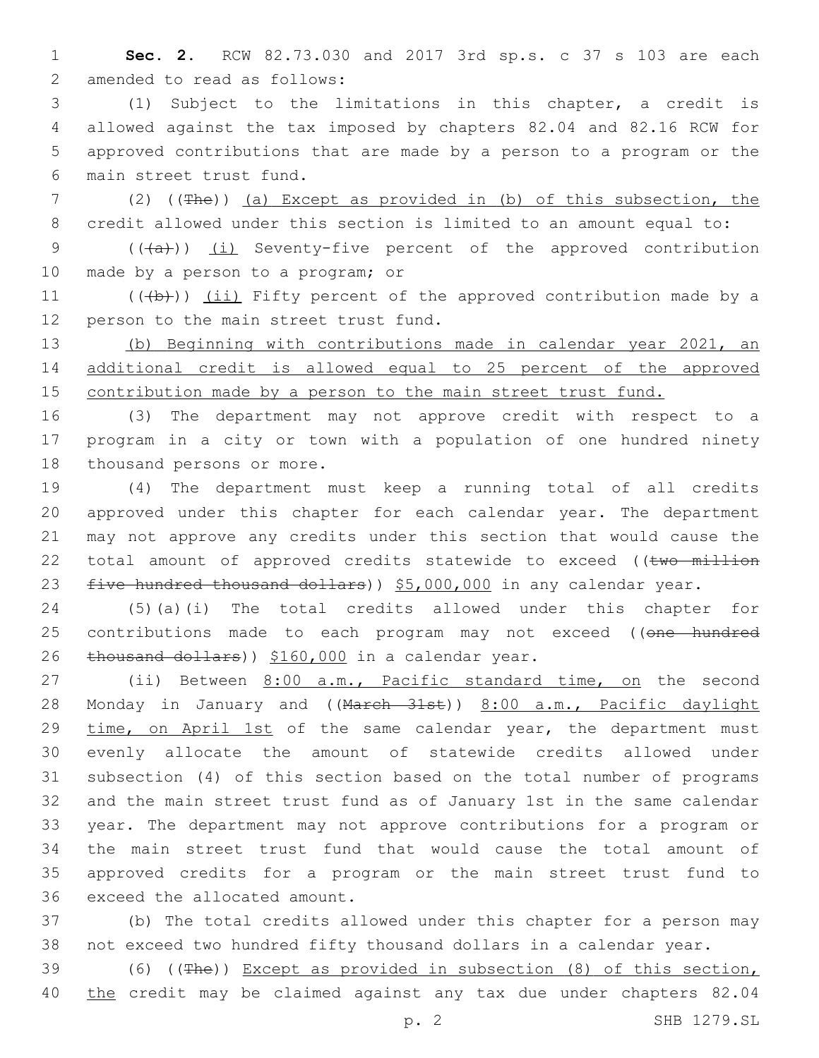1 **Sec. 2.** RCW 82.73.030 and 2017 3rd sp.s. c 37 s 103 are each 2 amended to read as follows:

 (1) Subject to the limitations in this chapter, a credit is allowed against the tax imposed by chapters 82.04 and 82.16 RCW for approved contributions that are made by a person to a program or the main street trust fund.6

7 (2) ((The)) (a) Except as provided in (b) of this subsection, the 8 credit allowed under this section is limited to an amount equal to:

9 (((a))) (i) Seventy-five percent of the approved contribution 10 made by a person to a program; or

11 (((b))) (ii) Fifty percent of the approved contribution made by a 12 person to the main street trust fund.

13 (b) Beginning with contributions made in calendar year 2021, an 14 additional credit is allowed equal to 25 percent of the approved 15 contribution made by a person to the main street trust fund.

16 (3) The department may not approve credit with respect to a 17 program in a city or town with a population of one hundred ninety 18 thousand persons or more.

19 (4) The department must keep a running total of all credits 20 approved under this chapter for each calendar year. The department 21 may not approve any credits under this section that would cause the 22 total amount of approved credits statewide to exceed ((two million 23 five hundred thousand dollars)) \$5,000,000 in any calendar year.

24 (5)(a)(i) The total credits allowed under this chapter for 25 contributions made to each program may not exceed ((one hundred 26 thousand dollars)) \$160,000 in a calendar year.

 (ii) Between 8:00 a.m., Pacific standard time, on the second 28 Monday in January and ((March 31st)) 8:00 a.m., Pacific daylight 29 time, on April 1st of the same calendar year, the department must evenly allocate the amount of statewide credits allowed under subsection (4) of this section based on the total number of programs and the main street trust fund as of January 1st in the same calendar year. The department may not approve contributions for a program or the main street trust fund that would cause the total amount of approved credits for a program or the main street trust fund to 36 exceed the allocated amount.

37 (b) The total credits allowed under this chapter for a person may 38 not exceed two hundred fifty thousand dollars in a calendar year.

39 (6) ((The)) Except as provided in subsection (8) of this section, 40 the credit may be claimed against any tax due under chapters 82.04

p. 2 SHB 1279.SL